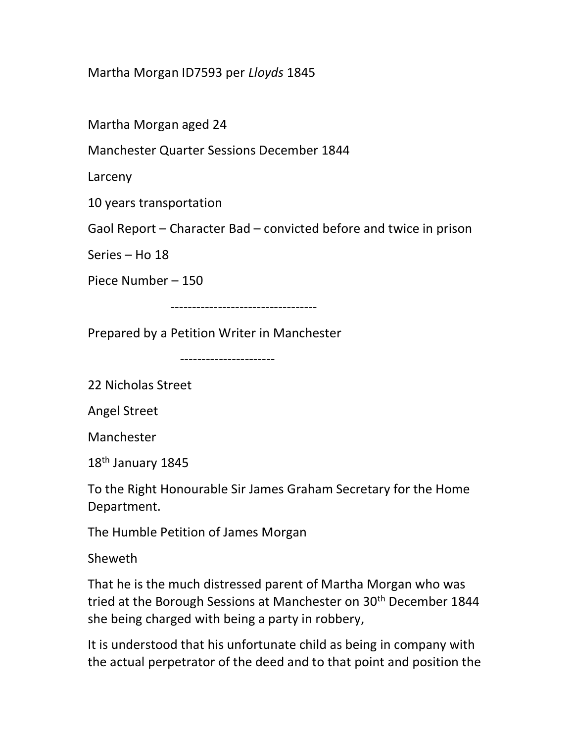## Martha Morgan ID7593 per Lloyds 1845

Martha Morgan aged 24

Manchester Quarter Sessions December 1844

Larceny

10 years transportation

Gaol Report – Character Bad – convicted before and twice in prison

Series – Ho 18

Piece Number – 150

----------------------------------

Prepared by a Petition Writer in Manchester

----------------------

22 Nicholas Street

Angel Street

Manchester

18<sup>th</sup> January 1845

To the Right Honourable Sir James Graham Secretary for the Home Department.

The Humble Petition of James Morgan

Sheweth

That he is the much distressed parent of Martha Morgan who was tried at the Borough Sessions at Manchester on 30<sup>th</sup> December 1844 she being charged with being a party in robbery,

It is understood that his unfortunate child as being in company with the actual perpetrator of the deed and to that point and position the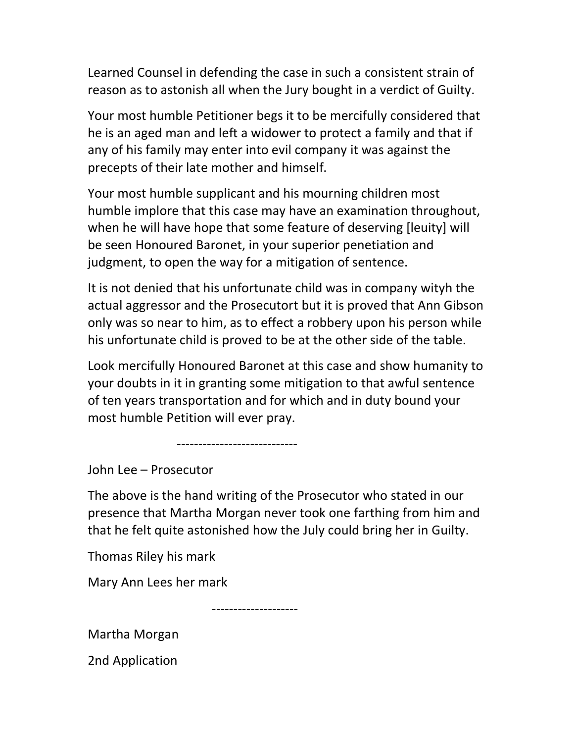Learned Counsel in defending the case in such a consistent strain of reason as to astonish all when the Jury bought in a verdict of Guilty.

Your most humble Petitioner begs it to be mercifully considered that he is an aged man and left a widower to protect a family and that if any of his family may enter into evil company it was against the precepts of their late mother and himself.

Your most humble supplicant and his mourning children most humble implore that this case may have an examination throughout, when he will have hope that some feature of deserving [leuity] will be seen Honoured Baronet, in your superior penetiation and judgment, to open the way for a mitigation of sentence.

It is not denied that his unfortunate child was in company wityh the actual aggressor and the Prosecutort but it is proved that Ann Gibson only was so near to him, as to effect a robbery upon his person while his unfortunate child is proved to be at the other side of the table.

Look mercifully Honoured Baronet at this case and show humanity to your doubts in it in granting some mitigation to that awful sentence of ten years transportation and for which and in duty bound your most humble Petition will ever pray.

----------------------------

John Lee – Prosecutor

The above is the hand writing of the Prosecutor who stated in our presence that Martha Morgan never took one farthing from him and that he felt quite astonished how the July could bring her in Guilty.

Thomas Riley his mark

Mary Ann Lees her mark

--------------------

Martha Morgan

2nd Application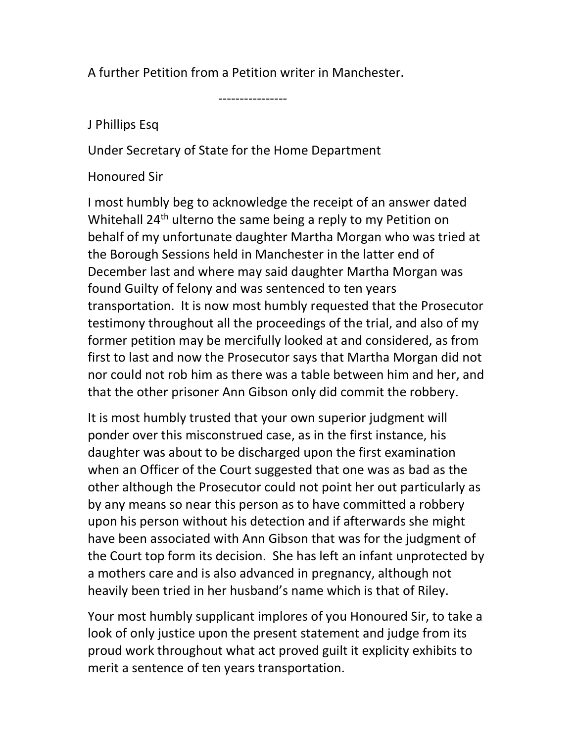A further Petition from a Petition writer in Manchester.

----------------

## J Phillips Esq

Under Secretary of State for the Home Department

## Honoured Sir

I most humbly beg to acknowledge the receipt of an answer dated Whitehall 24<sup>th</sup> ulterno the same being a reply to my Petition on behalf of my unfortunate daughter Martha Morgan who was tried at the Borough Sessions held in Manchester in the latter end of December last and where may said daughter Martha Morgan was found Guilty of felony and was sentenced to ten years transportation. It is now most humbly requested that the Prosecutor testimony throughout all the proceedings of the trial, and also of my former petition may be mercifully looked at and considered, as from first to last and now the Prosecutor says that Martha Morgan did not nor could not rob him as there was a table between him and her, and that the other prisoner Ann Gibson only did commit the robbery.

It is most humbly trusted that your own superior judgment will ponder over this misconstrued case, as in the first instance, his daughter was about to be discharged upon the first examination when an Officer of the Court suggested that one was as bad as the other although the Prosecutor could not point her out particularly as by any means so near this person as to have committed a robbery upon his person without his detection and if afterwards she might have been associated with Ann Gibson that was for the judgment of the Court top form its decision. She has left an infant unprotected by a mothers care and is also advanced in pregnancy, although not heavily been tried in her husband's name which is that of Riley.

Your most humbly supplicant implores of you Honoured Sir, to take a look of only justice upon the present statement and judge from its proud work throughout what act proved guilt it explicity exhibits to merit a sentence of ten years transportation.